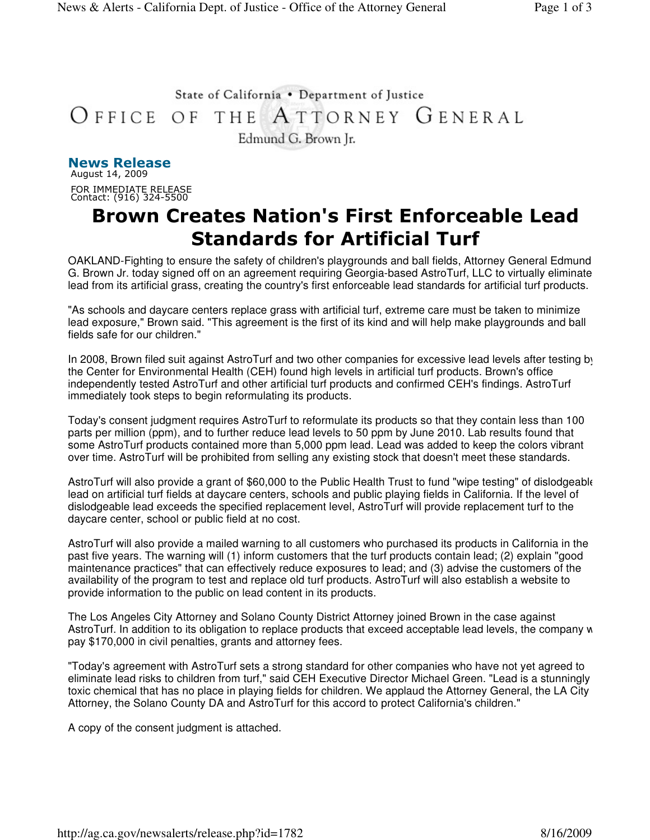## State of California . Department of Justice OFFICE OF THE ATTORNEY GENERAL Edmund G. Brown Jr.

## News Release August 14, 2009

FOR IMMEDIATE RELEASE Contact: (916) 324-5500

## Brown Creates Nation's First Enforceable Lead Standards for Artificial Turf

OAKLAND-Fighting to ensure the safety of children's playgrounds and ball fields, Attorney General Edmund G. Brown Jr. today signed off on an agreement requiring Georgia-based AstroTurf, LLC to virtually eliminate lead from its artificial grass, creating the country's first enforceable lead standards for artificial turf products.

"As schools and daycare centers replace grass with artificial turf, extreme care must be taken to minimize lead exposure," Brown said. "This agreement is the first of its kind and will help make playgrounds and ball fields safe for our children."

In 2008, Brown filed suit against AstroTurf and two other companies for excessive lead levels after testing by the Center for Environmental Health (CEH) found high levels in artificial turf products. Brown's office independently tested AstroTurf and other artificial turf products and confirmed CEH's findings. AstroTurf immediately took steps to begin reformulating its products.

Today's consent judgment requires AstroTurf to reformulate its products so that they contain less than 100 parts per million (ppm), and to further reduce lead levels to 50 ppm by June 2010. Lab results found that some AstroTurf products contained more than 5,000 ppm lead. Lead was added to keep the colors vibrant over time. AstroTurf will be prohibited from selling any existing stock that doesn't meet these standards.

AstroTurf will also provide a grant of \$60,000 to the Public Health Trust to fund "wipe testing" of dislodgeable lead on artificial turf fields at daycare centers, schools and public playing fields in California. If the level of dislodgeable lead exceeds the specified replacement level, AstroTurf will provide replacement turf to the daycare center, school or public field at no cost.

AstroTurf will also provide a mailed warning to all customers who purchased its products in California in the past five years. The warning will (1) inform customers that the turf products contain lead; (2) explain "good maintenance practices" that can effectively reduce exposures to lead; and (3) advise the customers of the availability of the program to test and replace old turf products. AstroTurf will also establish a website to provide information to the public on lead content in its products.

The Los Angeles City Attorney and Solano County District Attorney joined Brown in the case against AstroTurf. In addition to its obligation to replace products that exceed acceptable lead levels, the company w pay \$170,000 in civil penalties, grants and attorney fees.

"Today's agreement with AstroTurf sets a strong standard for other companies who have not yet agreed to eliminate lead risks to children from turf," said CEH Executive Director Michael Green. "Lead is a stunningly toxic chemical that has no place in playing fields for children. We applaud the Attorney General, the LA City Attorney, the Solano County DA and AstroTurf for this accord to protect California's children."

A copy of the consent judgment is attached.